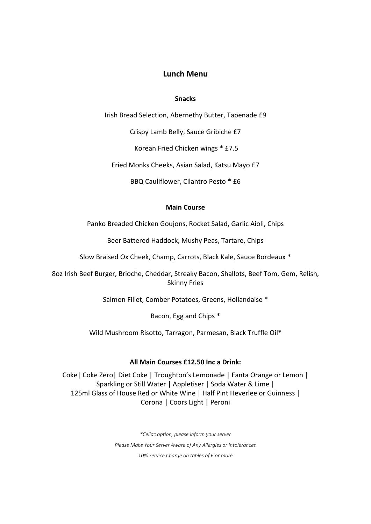# **Lunch Menu**

### **Snacks**

Irish Bread Selection, Abernethy Butter, Tapenade £9

Crispy Lamb Belly, Sauce Gribiche £7

Korean Fried Chicken wings \* £7.5

Fried Monks Cheeks, Asian Salad, Katsu Mayo £7

BBQ Cauliflower, Cilantro Pesto \* £6

#### **Main Course**

Panko Breaded Chicken Goujons, Rocket Salad, Garlic Aioli, Chips

Beer Battered Haddock, Mushy Peas, Tartare, Chips

Slow Braised Ox Cheek, Champ, Carrots, Black Kale, Sauce Bordeaux \*

8oz Irish Beef Burger, Brioche, Cheddar, Streaky Bacon, Shallots, Beef Tom, Gem, Relish, Skinny Fries

Salmon Fillet, Comber Potatoes, Greens, Hollandaise \*

Bacon, Egg and Chips \*

Wild Mushroom Risotto, Tarragon, Parmesan, Black Truffle Oil**\***

### **All Main Courses £12.50 Inc a Drink:**

Coke| Coke Zero| Diet Coke | Troughton's Lemonade | Fanta Orange or Lemon | Sparkling or Still Water | Appletiser | Soda Water & Lime | 125ml Glass of House Red or White Wine | Half Pint Heverlee or Guinness | Corona | Coors Light | Peroni

> *\*Celiac option, please inform your server Please Make Your Server Aware of Any Allergies or Intolerances 10% Service Charge on tables of 6 or more*